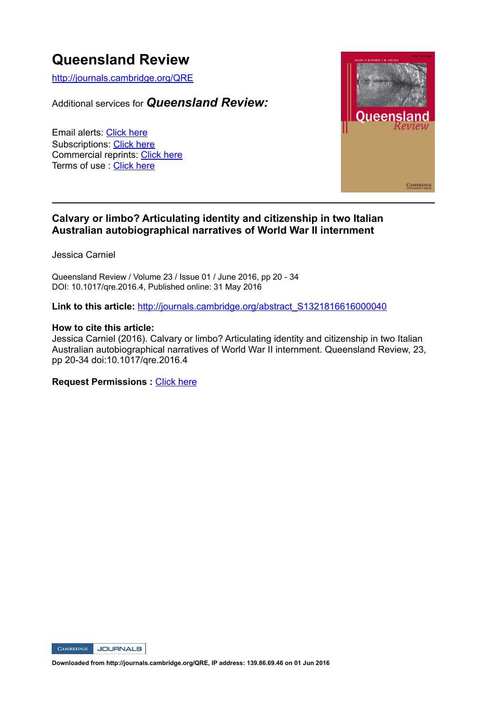# **Queensland Review**

http://journals.cambridge.org/QRE

Additional services for *Queensland Review:*

Email alerts: Click here Subscriptions: Click here Commercial reprints: Click here Terms of use : Click here



#### **Calvary or limbo? Articulating identity and citizenship in two Italian Australian autobiographical narratives of World War II internment**

Jessica Carniel

Queensland Review / Volume 23 / Issue 01 / June 2016, pp 20 - 34 DOI: 10.1017/qre.2016.4, Published online: 31 May 2016

Link to this article: http://journals.cambridge.org/abstract\_S1321816616000040

#### **How to cite this article:**

Jessica Carniel (2016). Calvary or limbo? Articulating identity and citizenship in two Italian Australian autobiographical narratives of World War II internment. Queensland Review, 23, pp 20-34 doi:10.1017/qre.2016.4

**Request Permissions :** Click here



**Downloaded from http://journals.cambridge.org/QRE, IP address: 139.86.69.46 on 01 Jun 2016**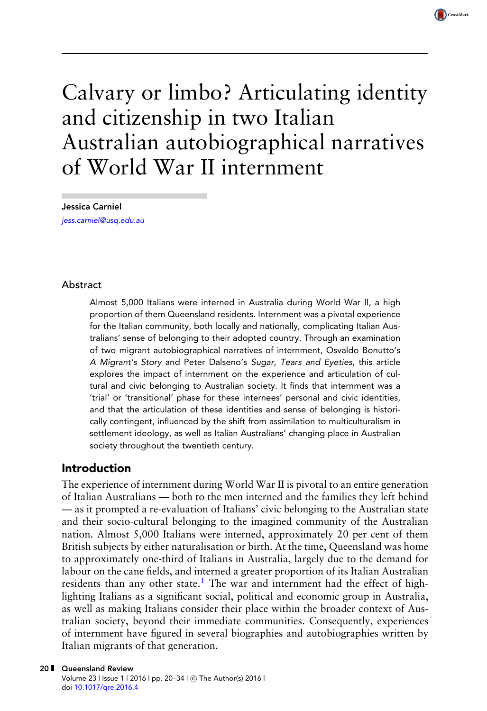# Calvary or limbo? Articulating identity and citizenship in two Italian Australian autobiographical narratives of World War II internment

CrossMark

Jessica Carniel [jess.carniel@usq.edu.au](mailto:jess.carniel@usq.edu.au)

#### Abstract

Almost 5,000 Italians were interned in Australia during World War II, a high proportion of them Queensland residents. Internment was a pivotal experience for the Italian community, both locally and nationally, complicating Italian Australians' sense of belonging to their adopted country. Through an examination of two migrant autobiographical narratives of internment, Osvaldo Bonutto's A Migrant's Story and Peter Dalseno's Sugar, Tears and Eyeties, this article explores the impact of internment on the experience and articulation of cultural and civic belonging to Australian society. It finds that internment was a 'trial' or 'transitional' phase for these internees' personal and civic identities, and that the articulation of these identities and sense of belonging is historically contingent, influenced by the shift from assimilation to multiculturalism in settlement ideology, as well as Italian Australians' changing place in Australian society throughout the twentieth century.

#### Introduction

The experience of internment during World War II is pivotal to an entire generation of Italian Australians — both to the men interned and the families they left behind — as it prompted a re-evaluation of Italians' civic belonging to the Australian state and their socio-cultural belonging to the imagined community of the Australian nation. Almost 5,000 Italians were interned, approximately 20 per cent of them British subjects by either naturalisation or birth. At the time, Queensland was home to approximately one-third of Italians in Australia, largely due to the demand for labour on the cane fields, and interned a greater proportion of its Italian Australian residents than any other state[.](#page-12-0)<sup>1</sup> The war and internment had the effect of highlighting Italians as a significant social, political and economic group in Australia, as well as making Italians consider their place within the broader context of Australian society, beyond their immediate communities. Consequently, experiences of internment have figured in several biographies and autobiographies written by Italian migrants of that generation.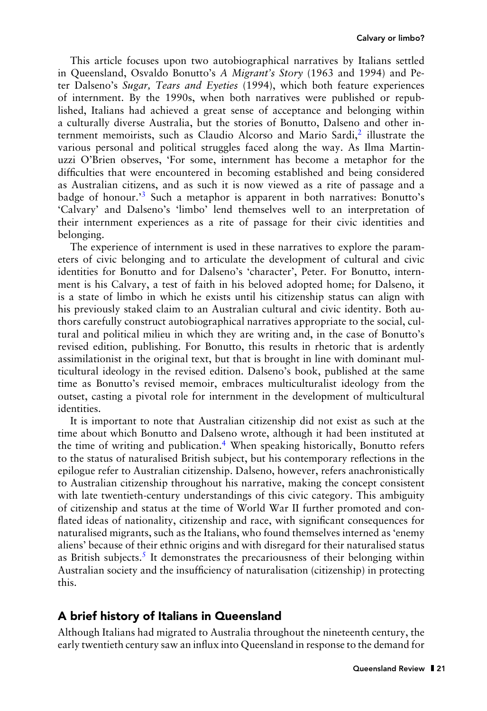This article focuses upon two autobiographical narratives by Italians settled in Queensland, Osvaldo Bonutto's *A Migrant's Story* (1963 and 1994) and Peter Dalseno's *Sugar, Tears and Eyeties* (1994), which both feature experiences of internment. By the 1990s, when both narratives were published or republished, Italians had achieved a great sense of acceptance and belonging within a culturally diverse Australia, but the stories of Bonutto, Dalseno and other in-ternment memoirists[,](#page-12-0) such as Claudio Alcorso and Mario Sardi,<sup>2</sup> illustrate the various personal and political struggles faced along the way. As Ilma Martinuzzi O'Brien observes, 'For some, internment has become a metaphor for the difficulties that were encountered in becoming established and being considered as Australian citizens, and as such it is now viewed as a rite of passage and a badge of honour.<sup>3</sup> Such a metaphor is apparent in both narratives: Bonutto['](#page-12-0)s 'Calvary' and Dalseno's 'limbo' lend themselves well to an interpretation of their internment experiences as a rite of passage for their civic identities and belonging.

The experience of internment is used in these narratives to explore the parameters of civic belonging and to articulate the development of cultural and civic identities for Bonutto and for Dalseno's 'character', Peter. For Bonutto, internment is his Calvary, a test of faith in his beloved adopted home; for Dalseno, it is a state of limbo in which he exists until his citizenship status can align with his previously staked claim to an Australian cultural and civic identity. Both authors carefully construct autobiographical narratives appropriate to the social, cultural and political milieu in which they are writing and, in the case of Bonutto's revised edition, publishing. For Bonutto, this results in rhetoric that is ardently assimilationist in the original text, but that is brought in line with dominant multicultural ideology in the revised edition. Dalseno's book, published at the same time as Bonutto's revised memoir, embraces multiculturalist ideology from the outset, casting a pivotal role for internment in the development of multicultural identities.

It is important to note that Australian citizenship did not exist as such at the time about which Bonutto and Dalseno wrote, although it had been instituted at the time of writing and publication[.](#page-12-0)<sup>4</sup> When speaking historically, Bonutto refers to the status of naturalised British subject, but his contemporary reflections in the epilogue refer to Australian citizenship. Dalseno, however, refers anachronistically to Australian citizenship throughout his narrative, making the concept consistent with late twentieth-century understandings of this civic category. This ambiguity of citizenship and status at the time of World War II further promoted and conflated ideas of nationality, citizenship and race, with significant consequences for naturalised migrants, such as the Italians, who found themselves interned as 'enemy aliens' because of their ethnic origins and with disregard for their naturalised status as British subjects[.](#page-12-0) $5$  It demonstrates the precariousness of their belonging within Australian society and the insufficiency of naturalisation (citizenship) in protecting this.

#### A brief history of Italians in Queensland

Although Italians had migrated to Australia throughout the nineteenth century, the early twentieth century saw an influx into Queensland in response to the demand for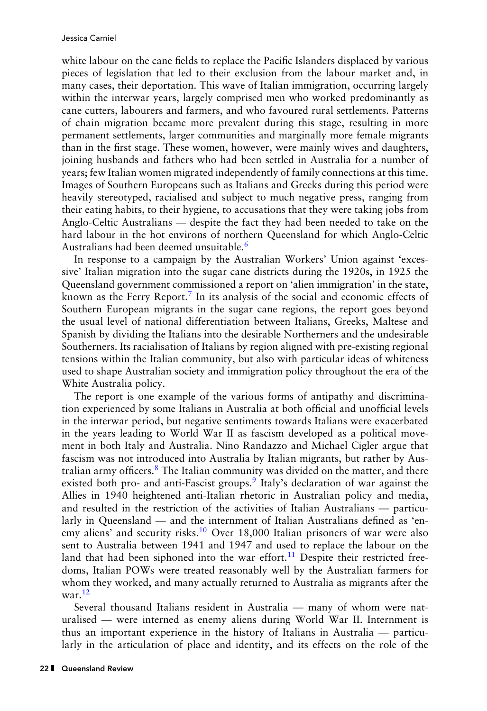white labour on the cane fields to replace the Pacific Islanders displaced by various pieces of legislation that led to their exclusion from the labour market and, in many cases, their deportation. This wave of Italian immigration, occurring largely within the interwar years, largely comprised men who worked predominantly as cane cutters, labourers and farmers, and who favoured rural settlements. Patterns of chain migration became more prevalent during this stage, resulting in more permanent settlements, larger communities and marginally more female migrants than in the first stage. These women, however, were mainly wives and daughters, joining husbands and fathers who had been settled in Australia for a number of years; few Italian women migrated independently of family connections at this time. Images of Southern Europeans such as Italians and Greeks during this period were heavily stereotyped, racialised and subject to much negative press, ranging from their eating habits, to their hygiene, to accusations that they were taking jobs from Anglo-Celtic Australians — despite the fact they had been needed to take on the hard labour in the hot environs of northern Queensland for which Anglo-Celtic Australians had been deemed unsuitable[.](#page-13-0)<sup>6</sup>

In response to a campaign by the Australian Workers' Union against 'excessive' Italian migration into the sugar cane districts during the 1920s, in 1925 the Queensland government commissioned a report on 'alien immigration' in the state, known as the Ferry Report[.](#page-13-0)<sup>7</sup> In its analysis of the social and economic effects of Southern European migrants in the sugar cane regions, the report goes beyond the usual level of national differentiation between Italians, Greeks, Maltese and Spanish by dividing the Italians into the desirable Northerners and the undesirable Southerners. Its racialisation of Italians by region aligned with pre-existing regional tensions within the Italian community, but also with particular ideas of whiteness used to shape Australian society and immigration policy throughout the era of the White Australia policy.

The report is one example of the various forms of antipathy and discrimination experienced by some Italians in Australia at both official and unofficial levels in the interwar period, but negative sentiments towards Italians were exacerbated in the years leading to World War II as fascism developed as a political movement in both Italy and Australia. Nino Randazzo and Michael Cigler argue that fascism was not introduced into Australia by Italian migrants, but rather by Aus-tralian army officers[.](#page-13-0) $8$  The Italian community was divided on the matter, and there existed both pro- and anti-Fascist groups[.](#page-13-0)<sup>9</sup> Italy's declaration of war against the Allies in 1940 heightened anti-Italian rhetoric in Australian policy and media, and resulted in the restriction of the activities of Italian Australians — particularly in Queensland — and the internment of Italian Australians defined as 'en-emy aliens' and security risks[.](#page-13-0)<sup>10</sup> Over 18,000 Italian prisoners of war were also sent to Australia between 1941 and 1947 and used to replace the labour on the land that had been siphoned into the war effort[.](#page-13-0)<sup>11</sup> Despite their restricted freedoms, Italian POWs were treated reasonably well by the Australian farmers for whom they worked, and many actually returned to Australia as migrants after the war[.](#page-13-0) $12$ 

Several thousand Italians resident in Australia — many of whom were naturalised — were interned as enemy aliens during World War II. Internment is thus an important experience in the history of Italians in Australia — particularly in the articulation of place and identity, and its effects on the role of the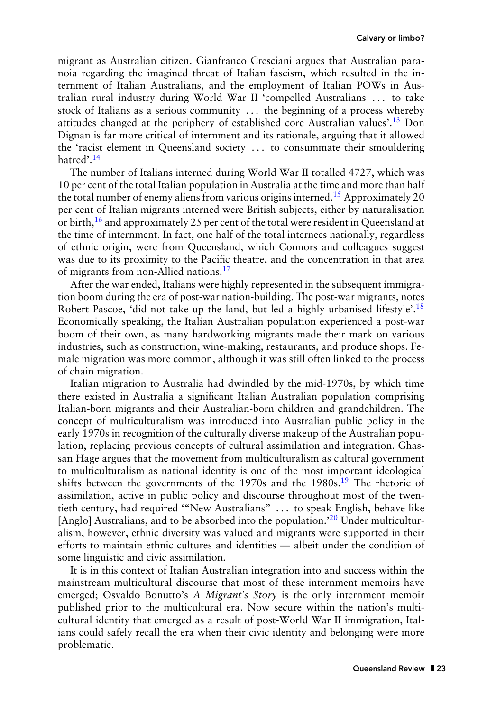migrant as Australian citizen. Gianfranco Cresciani argues that Australian paranoia regarding the imagined threat of Italian fascism, which resulted in the internment of Italian Australians, and the employment of Italian POWs in Australian rural industry during World War II 'compelled Australians . . . to take stock of Italians as a serious community . . . the beginning of a process whereby attitudes changed at the periphery of established core Australian values'[.](#page-13-0)13 Don Dignan is far more critical of internment and its rationale, arguing that it allowed the 'racist element in Queensland society . . . to consummate their smouldering hatred'[.](#page-13-0)<sup>14</sup>

The number of Italians interned during World War II totalled 4727, which was 10 per cent of the total Italian population in Australia at the time and more than half the total number of enemy aliens from various origins interned[.](#page-13-0)<sup>15</sup> Approximately 20 per cent of Italian migrants interned were British subjects, either by naturalisation or birth[,](#page-13-0)<sup>16</sup> and approximately 25 per cent of the total were resident in Queensland at the time of internment. In fact, one half of the total internees nationally, regardless of ethnic origin, were from Queensland, which Connors and colleagues suggest was due to its proximity to the Pacific theatre, and the concentration in that area of migrants from non-Allied nations[.](#page-13-0)<sup>17</sup>

After the war ended, Italians were highly represented in the subsequent immigration boom during the era of post-war nation-building. The post-war migrants, notes Robert Pascoe, 'did not take up the land, but led a highly urbanised lifestyle'[.](#page-13-0)<sup>18</sup> Economically speaking, the Italian Australian population experienced a post-war boom of their own, as many hardworking migrants made their mark on various industries, such as construction, wine-making, restaurants, and produce shops. Female migration was more common, although it was still often linked to the process of chain migration.

Italian migration to Australia had dwindled by the mid-1970s, by which time there existed in Australia a significant Italian Australian population comprising Italian-born migrants and their Australian-born children and grandchildren. The concept of multiculturalism was introduced into Australian public policy in the early 1970s in recognition of the culturally diverse makeup of the Australian population, replacing previous concepts of cultural assimilation and integration. Ghassan Hage argues that the movement from multiculturalism as cultural government to multiculturalism as national identity is one of the most important ideological shifts between the governments of the  $1970s$  and the  $1980s$ [.](#page-13-0)<sup>19</sup> The rhetoric of assimilation, active in public policy and discourse throughout most of the twentieth century, had required '"New Australians" . . . to speak English, behave like [Anglo] Australians, and to be absorbed into the population.<sup>20</sup> Under multiculturalism, however, ethnic diversity was valued and migrants were supported in their efforts to maintain ethnic cultures and identities — albeit under the condition of some linguistic and civic assimilation.

It is in this context of Italian Australian integration into and success within the mainstream multicultural discourse that most of these internment memoirs have emerged; Osvaldo Bonutto's *A Migrant's Story* is the only internment memoir published prior to the multicultural era. Now secure within the nation's multicultural identity that emerged as a result of post-World War II immigration, Italians could safely recall the era when their civic identity and belonging were more problematic.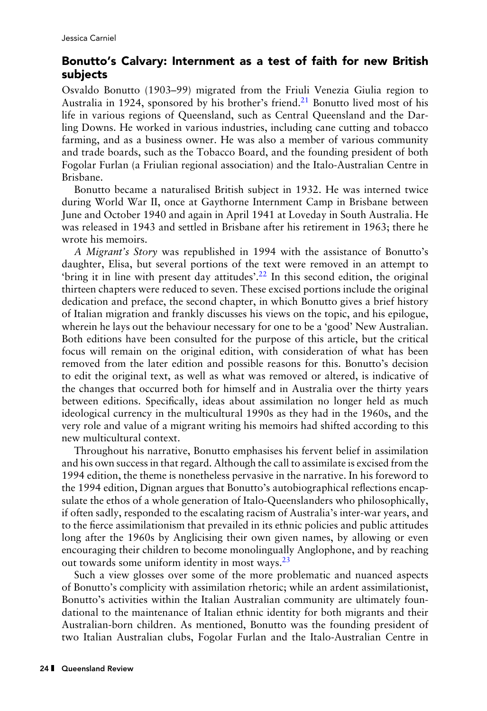### Bonutto's Calvary: Internment as a test of faith for new British subjects

Osvaldo Bonutto (1903–99) migrated from the Friuli Venezia Giulia region to Australia in 1924, sponsored by his brother's friend[.](#page-13-0)<sup>21</sup> Bonutto lived most of his life in various regions of Queensland, such as Central Queensland and the Darling Downs. He worked in various industries, including cane cutting and tobacco farming, and as a business owner. He was also a member of various community and trade boards, such as the Tobacco Board, and the founding president of both Fogolar Furlan (a Friulian regional association) and the Italo-Australian Centre in Brisbane.

Bonutto became a naturalised British subject in 1932. He was interned twice during World War II, once at Gaythorne Internment Camp in Brisbane between June and October 1940 and again in April 1941 at Loveday in South Australia. He was released in 1943 and settled in Brisbane after his retirement in 1963; there he wrote his memoirs.

*A Migrant's Story* was republished in 1994 with the assistance of Bonutto's daughter, Elisa, but several portions of the text were removed in an attempt to 'bring it in line with present day attitudes'[.](#page-14-0)<sup>22</sup> In this second edition, the original thirteen chapters were reduced to seven. These excised portions include the original dedication and preface, the second chapter, in which Bonutto gives a brief history of Italian migration and frankly discusses his views on the topic, and his epilogue, wherein he lays out the behaviour necessary for one to be a 'good' New Australian. Both editions have been consulted for the purpose of this article, but the critical focus will remain on the original edition, with consideration of what has been removed from the later edition and possible reasons for this. Bonutto's decision to edit the original text, as well as what was removed or altered, is indicative of the changes that occurred both for himself and in Australia over the thirty years between editions. Specifically, ideas about assimilation no longer held as much ideological currency in the multicultural 1990s as they had in the 1960s, and the very role and value of a migrant writing his memoirs had shifted according to this new multicultural context.

Throughout his narrative, Bonutto emphasises his fervent belief in assimilation and his own success in that regard. Although the call to assimilate is excised from the 1994 edition, the theme is nonetheless pervasive in the narrative. In his foreword to the 1994 edition, Dignan argues that Bonutto's autobiographical reflections encapsulate the ethos of a whole generation of Italo-Queenslanders who philosophically, if often sadly, responded to the escalating racism of Australia's inter-war years, and to the fierce assimilationism that prevailed in its ethnic policies and public attitudes long after the 1960s by Anglicising their own given names, by allowing or even encouraging their children to become monolingually Anglophone, and by reaching out towards some uniform identity in most ways[.](#page-14-0) $23$ 

Such a view glosses over some of the more problematic and nuanced aspects of Bonutto's complicity with assimilation rhetoric; while an ardent assimilationist, Bonutto's activities within the Italian Australian community are ultimately foundational to the maintenance of Italian ethnic identity for both migrants and their Australian-born children. As mentioned, Bonutto was the founding president of two Italian Australian clubs, Fogolar Furlan and the Italo-Australian Centre in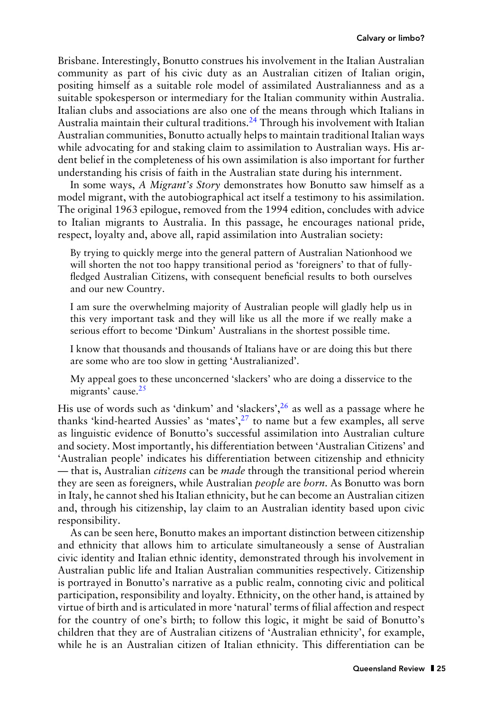Brisbane. Interestingly, Bonutto construes his involvement in the Italian Australian community as part of his civic duty as an Australian citizen of Italian origin, positing himself as a suitable role model of assimilated Australianness and as a suitable spokesperson or intermediary for the Italian community within Australia. Italian clubs and associations are also one of the means through which Italians in Australia maintain their cultural traditions[.](#page-14-0)<sup>24</sup> Through his involvement with Italian Australian communities, Bonutto actually helps to maintain traditional Italian ways while advocating for and staking claim to assimilation to Australian ways. His ardent belief in the completeness of his own assimilation is also important for further understanding his crisis of faith in the Australian state during his internment.

In some ways, *A Migrant's Story* demonstrates how Bonutto saw himself as a model migrant, with the autobiographical act itself a testimony to his assimilation. The original 1963 epilogue, removed from the 1994 edition, concludes with advice to Italian migrants to Australia. In this passage, he encourages national pride, respect, loyalty and, above all, rapid assimilation into Australian society:

By trying to quickly merge into the general pattern of Australian Nationhood we will shorten the not too happy transitional period as 'foreigners' to that of fullyfledged Australian Citizens, with consequent beneficial results to both ourselves and our new Country.

I am sure the overwhelming majority of Australian people will gladly help us in this very important task and they will like us all the more if we really make a serious effort to become 'Dinkum' Australians in the shortest possible time.

I know that thousands and thousands of Italians have or are doing this but there are some who are too slow in getting 'Australianized'.

My appeal goes to these unconcerned 'slackers' who are doing a disservice to the migrants' cause[.](#page-14-0)<sup>25</sup>

His use of words such as 'dinkum' and 'slackers'[,](#page-14-0)<sup>26</sup> as well as a passage where he thanks 'kind-hearted Aussies' as 'mates'[,](#page-14-0) $2<sup>7</sup>$  to name but a few examples, all serve as linguistic evidence of Bonutto's successful assimilation into Australian culture and society. Most importantly, his differentiation between 'Australian Citizens' and 'Australian people' indicates his differentiation between citizenship and ethnicity — that is, Australian *citizens* can be *made* through the transitional period wherein they are seen as foreigners, while Australian *people* are *born*. As Bonutto was born in Italy, he cannot shed his Italian ethnicity, but he can become an Australian citizen and, through his citizenship, lay claim to an Australian identity based upon civic responsibility.

As can be seen here, Bonutto makes an important distinction between citizenship and ethnicity that allows him to articulate simultaneously a sense of Australian civic identity and Italian ethnic identity, demonstrated through his involvement in Australian public life and Italian Australian communities respectively. Citizenship is portrayed in Bonutto's narrative as a public realm, connoting civic and political participation, responsibility and loyalty. Ethnicity, on the other hand, is attained by virtue of birth and is articulated in more 'natural' terms of filial affection and respect for the country of one's birth; to follow this logic, it might be said of Bonutto's children that they are of Australian citizens of 'Australian ethnicity', for example, while he is an Australian citizen of Italian ethnicity. This differentiation can be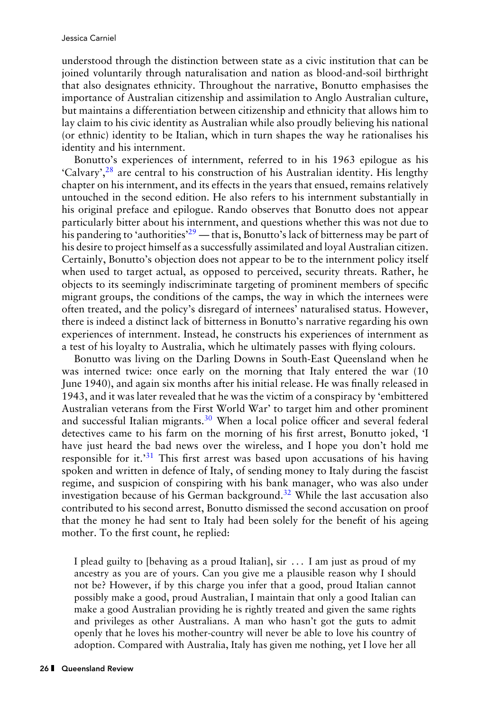understood through the distinction between state as a civic institution that can be joined voluntarily through naturalisation and nation as blood-and-soil birthright that also designates ethnicity. Throughout the narrative, Bonutto emphasises the importance of Australian citizenship and assimilation to Anglo Australian culture, but maintains a differentiation between citizenship and ethnicity that allows him to lay claim to his civic identity as Australian while also proudly believing his national (or ethnic) identity to be Italian, which in turn shapes the way he rationalises his identity and his internment.

Bonutto's experiences of internment, referred to in his 1963 epilogue as his 'Calvary'[,](#page-14-0)<sup>28</sup> are central to his construction of his Australian identity. His lengthy chapter on his internment, and its effects in the years that ensued, remains relatively untouched in the second edition. He also refers to his internment substantially in his original preface and epilogue. Rando observes that Bonutto does not appear particularly bitter about his internment, and questions whether this was not due to his pandering to ['](#page-14-0)authorities'<sup>29</sup> — that is, Bonutto's lack of bitterness may be part of his desire to project himself as a successfully assimilated and loyal Australian citizen. Certainly, Bonutto's objection does not appear to be to the internment policy itself when used to target actual, as opposed to perceived, security threats. Rather, he objects to its seemingly indiscriminate targeting of prominent members of specific migrant groups, the conditions of the camps, the way in which the internees were often treated, and the policy's disregard of internees' naturalised status. However, there is indeed a distinct lack of bitterness in Bonutto's narrative regarding his own experiences of internment. Instead, he constructs his experiences of internment as a test of his loyalty to Australia, which he ultimately passes with flying colours.

Bonutto was living on the Darling Downs in South-East Queensland when he was interned twice: once early on the morning that Italy entered the war (10 June 1940), and again six months after his initial release. He was finally released in 1943, and it was later revealed that he was the victim of a conspiracy by 'embittered Australian veterans from the First World War' to target him and other prominent and successful Italian migrants[.](#page-14-0)<sup>30</sup> When a local police officer and several federal detectives came to his farm on the morning of his first arrest, Bonutto joked, 'I have just heard the bad news over the wireless, and I hope you don't hold me responsible for it.<sup>31</sup> This first arrest was based upon accusations of his having spoken and written in defence of Italy, of sending money to Italy during the fascist regime, and suspicion of conspiring with his bank manager, who was also under investigation because of his German background[.](#page-14-0)<sup>32</sup> While the last accusation also contributed to his second arrest, Bonutto dismissed the second accusation on proof that the money he had sent to Italy had been solely for the benefit of his ageing mother. To the first count, he replied:

I plead guilty to [behaving as a proud Italian], sir . . . I am just as proud of my ancestry as you are of yours. Can you give me a plausible reason why I should not be? However, if by this charge you infer that a good, proud Italian cannot possibly make a good, proud Australian, I maintain that only a good Italian can make a good Australian providing he is rightly treated and given the same rights and privileges as other Australians. A man who hasn't got the guts to admit openly that he loves his mother-country will never be able to love his country of adoption. Compared with Australia, Italy has given me nothing, yet I love her all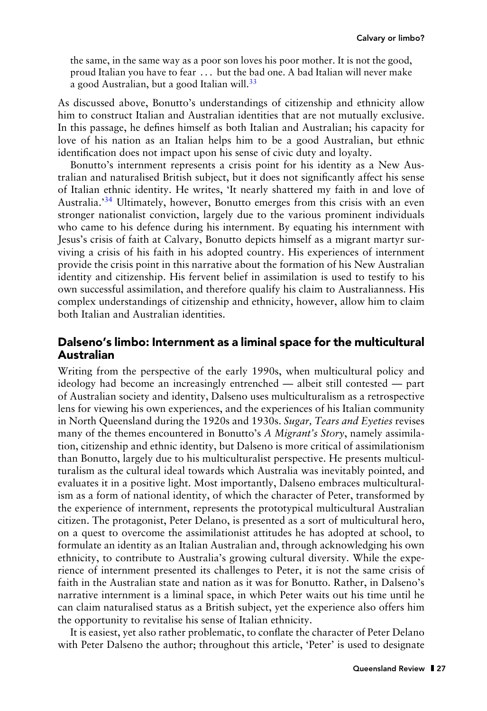the same, in the same way as a poor son loves his poor mother. It is not the good, proud Italian you have to fear . . . but the bad one. A bad Italian will never make a good Australian, but a good Italian will[.](#page-14-0)<sup>33</sup>

As discussed above, Bonutto's understandings of citizenship and ethnicity allow him to construct Italian and Australian identities that are not mutually exclusive. In this passage, he defines himself as both Italian and Australian; his capacity for love of his nation as an Italian helps him to be a good Australian, but ethnic identification does not impact upon his sense of civic duty and loyalty.

Bonutto's internment represents a crisis point for his identity as a New Australian and naturalised British subject, but it does not significantly affect his sense of Italian ethnic identity. He writes, 'It nearly shattered my faith in and love of Australia.['](#page-14-0)34 Ultimately, however, Bonutto emerges from this crisis with an even stronger nationalist conviction, largely due to the various prominent individuals who came to his defence during his internment. By equating his internment with Jesus's crisis of faith at Calvary, Bonutto depicts himself as a migrant martyr surviving a crisis of his faith in his adopted country. His experiences of internment provide the crisis point in this narrative about the formation of his New Australian identity and citizenship. His fervent belief in assimilation is used to testify to his own successful assimilation, and therefore qualify his claim to Australianness. His complex understandings of citizenship and ethnicity, however, allow him to claim both Italian and Australian identities.

#### Dalseno's limbo: Internment as a liminal space for the multicultural Australian

Writing from the perspective of the early 1990s, when multicultural policy and ideology had become an increasingly entrenched — albeit still contested — part of Australian society and identity, Dalseno uses multiculturalism as a retrospective lens for viewing his own experiences, and the experiences of his Italian community in North Queensland during the 1920s and 1930s. *Sugar, Tears and Eyeties* revises many of the themes encountered in Bonutto's *A Migrant's Story*, namely assimilation, citizenship and ethnic identity, but Dalseno is more critical of assimilationism than Bonutto, largely due to his multiculturalist perspective. He presents multiculturalism as the cultural ideal towards which Australia was inevitably pointed, and evaluates it in a positive light. Most importantly, Dalseno embraces multiculturalism as a form of national identity, of which the character of Peter, transformed by the experience of internment, represents the prototypical multicultural Australian citizen. The protagonist, Peter Delano, is presented as a sort of multicultural hero, on a quest to overcome the assimilationist attitudes he has adopted at school, to formulate an identity as an Italian Australian and, through acknowledging his own ethnicity, to contribute to Australia's growing cultural diversity. While the experience of internment presented its challenges to Peter, it is not the same crisis of faith in the Australian state and nation as it was for Bonutto. Rather, in Dalseno's narrative internment is a liminal space, in which Peter waits out his time until he can claim naturalised status as a British subject, yet the experience also offers him the opportunity to revitalise his sense of Italian ethnicity.

It is easiest, yet also rather problematic, to conflate the character of Peter Delano with Peter Dalseno the author; throughout this article, 'Peter' is used to designate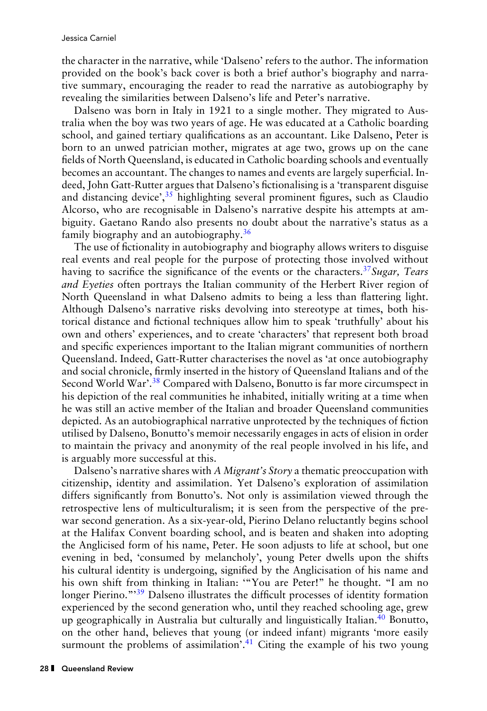the character in the narrative, while 'Dalseno' refers to the author. The information provided on the book's back cover is both a brief author's biography and narrative summary, encouraging the reader to read the narrative as autobiography by revealing the similarities between Dalseno's life and Peter's narrative.

Dalseno was born in Italy in 1921 to a single mother. They migrated to Australia when the boy was two years of age. He was educated at a Catholic boarding school, and gained tertiary qualifications as an accountant. Like Dalseno, Peter is born to an unwed patrician mother, migrates at age two, grows up on the cane fields of North Queensland, is educated in Catholic boarding schools and eventually becomes an accountant. The changes to names and events are largely superficial. Indeed, John Gatt-Rutter argues that Dalseno's fictionalising is a 'transparent disguise and distancing device'[,](#page-14-0) $35$  highlighting several prominent figures, such as Claudio Alcorso, who are recognisable in Dalseno's narrative despite his attempts at ambiguity. Gaetano Rando also presents no doubt about the narrative's status as a family biography and an autobiography[.](#page-14-0)<sup>36</sup>

The use of fictionality in autobiography and biography allows writers to disguise real events and real people for the purpose of protecting those involved without having to sacrifice the significance of the events or the characters[.](#page-14-0)37*Sugar, Tears and Eyeties* often portrays the Italian community of the Herbert River region of North Queensland in what Dalseno admits to being a less than flattering light. Although Dalseno's narrative risks devolving into stereotype at times, both historical distance and fictional techniques allow him to speak 'truthfully' about his own and others' experiences, and to create 'characters' that represent both broad and specific experiences important to the Italian migrant communities of northern Queensland. Indeed, Gatt-Rutter characterises the novel as 'at once autobiography and social chronicle, firmly inserted in the history of Queensland Italians and of the Second World War'[.](#page-14-0)<sup>38</sup> Compared with Dalseno, Bonutto is far more circumspect in his depiction of the real communities he inhabited, initially writing at a time when he was still an active member of the Italian and broader Queensland communities depicted. As an autobiographical narrative unprotected by the techniques of fiction utilised by Dalseno, Bonutto's memoir necessarily engages in acts of elision in order to maintain the privacy and anonymity of the real people involved in his life, and is arguably more successful at this.

Dalseno's narrative shares with *A Migrant's Story* a thematic preoccupation with citizenship, identity and assimilation. Yet Dalseno's exploration of assimilation differs significantly from Bonutto's. Not only is assimilation viewed through the retrospective lens of multiculturalism; it is seen from the perspective of the prewar second generation. As a six-year-old, Pierino Delano reluctantly begins school at the Halifax Convent boarding school, and is beaten and shaken into adopting the Anglicised form of his name, Peter. He soon adjusts to life at school, but one evening in bed, 'consumed by melancholy', young Peter dwells upon the shifts his cultural identity is undergoing, signified by the Anglicisation of his name and his own shift from thinking in Italian: '"You are Peter!" he thought. "I am no longer Pierino."<sup>39</sup> Dalseno illustrates the difficult processes of identity formation experienced by the second generation who, until they reached schooling age, grew up geographically in Australia but culturally and linguistically Italian[.](#page-14-0)<sup>40</sup> Bonutto, on the other hand, believes that young (or indeed infant) migrants 'more easily surmount the problems of assimilation'[.](#page-14-0)<sup>41</sup> Citing the example of his two young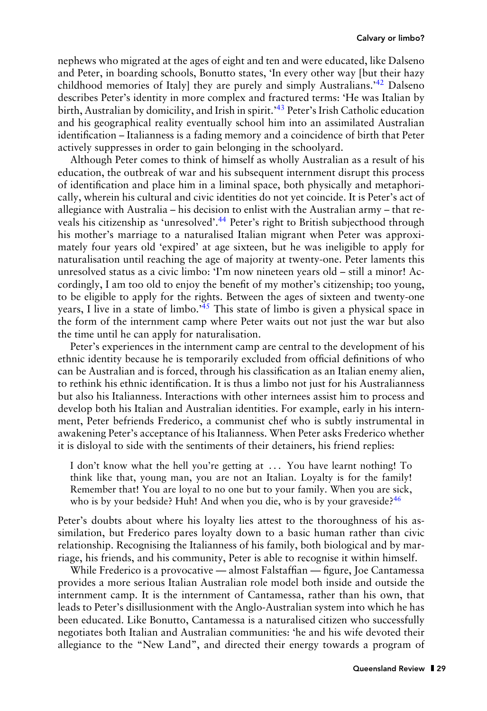nephews who migrated at the ages of eight and ten and were educated, like Dalseno and Peter, in boarding schools, Bonutto states, 'In every other way [but their hazy childhood memories of Italy] they are purely and simply Australians.['](#page-14-0)<sup>42</sup> Dalseno describes Peter's identity in more complex and fractured terms: 'He was Italian by birth, Australian by domicility, and Irish in spirit.['](#page-14-0)<sup>43</sup> Peter's Irish Catholic education and his geographical reality eventually school him into an assimilated Australian identification – Italianness is a fading memory and a coincidence of birth that Peter actively suppresses in order to gain belonging in the schoolyard.

Although Peter comes to think of himself as wholly Australian as a result of his education, the outbreak of war and his subsequent internment disrupt this process of identification and place him in a liminal space, both physically and metaphorically, wherein his cultural and civic identities do not yet coincide. It is Peter's act of allegiance with Australia – his decision to enlist with the Australian army – that re-veals his citizenship as 'unresolved'[.](#page-14-0)<sup>44</sup> Peter's right to British subjecthood through his mother's marriage to a naturalised Italian migrant when Peter was approximately four years old 'expired' at age sixteen, but he was ineligible to apply for naturalisation until reaching the age of majority at twenty-one. Peter laments this unresolved status as a civic limbo: 'I'm now nineteen years old – still a minor! Accordingly, I am too old to enjoy the benefit of my mother's citizenship; too young, to be eligible to apply for the rights. Between the ages of sixteen and twenty-one years, I live in a state of limbo.<sup>45</sup> This state of limbo is given a physical space in the form of the internment camp where Peter waits out not just the war but also the time until he can apply for naturalisation.

Peter's experiences in the internment camp are central to the development of his ethnic identity because he is temporarily excluded from official definitions of who can be Australian and is forced, through his classification as an Italian enemy alien, to rethink his ethnic identification. It is thus a limbo not just for his Australianness but also his Italianness. Interactions with other internees assist him to process and develop both his Italian and Australian identities. For example, early in his internment, Peter befriends Frederico, a communist chef who is subtly instrumental in awakening Peter's acceptance of his Italianness. When Peter asks Frederico whether it is disloyal to side with the sentiments of their detainers, his friend replies:

I don't know what the hell you're getting at . . . You have learnt nothing! To think like that, young man, you are not an Italian. Loyalty is for the family! Remember that! You are loyal to no one but to your family. When you are sick, who is by your bedside[?](#page-14-0) Huh! And when you die, who is by your graveside?  $46$ 

Peter's doubts about where his loyalty lies attest to the thoroughness of his assimilation, but Frederico pares loyalty down to a basic human rather than civic relationship. Recognising the Italianness of his family, both biological and by marriage, his friends, and his community, Peter is able to recognise it within himself.

While Frederico is a provocative — almost Falstaffian — figure, Joe Cantamessa provides a more serious Italian Australian role model both inside and outside the internment camp. It is the internment of Cantamessa, rather than his own, that leads to Peter's disillusionment with the Anglo-Australian system into which he has been educated. Like Bonutto, Cantamessa is a naturalised citizen who successfully negotiates both Italian and Australian communities: 'he and his wife devoted their allegiance to the "New Land", and directed their energy towards a program of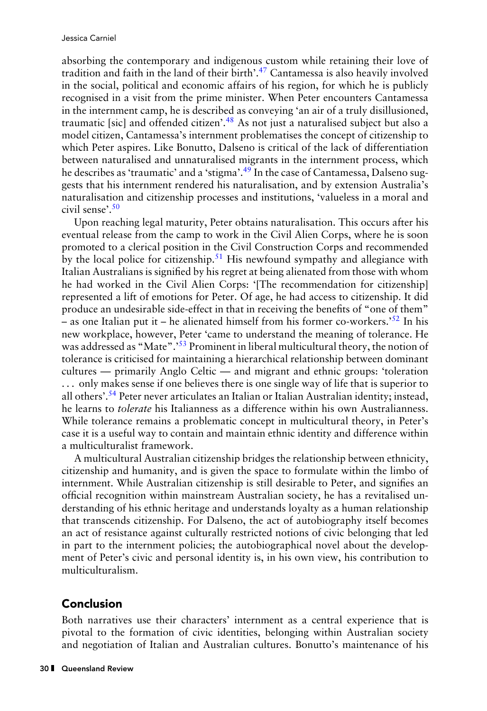absorbing the contemporary and indigenous custom while retaining their love of tradition and faith in the land of their birth'[.](#page-14-0) $47$  Cantamessa is also heavily involved in the social, political and economic affairs of his region, for which he is publicly recognised in a visit from the prime minister. When Peter encounters Cantamessa in the internment camp, he is described as conveying 'an air of a truly disillusioned, traumatic [sic] and offended citizen'[.](#page-14-0)<sup>48</sup> As not just a naturalised subject but also a model citizen, Cantamessa's internment problematises the concept of citizenship to which Peter aspires. Like Bonutto, Dalseno is critical of the lack of differentiation between naturalised and unnaturalised migrants in the internment process, which he describes as 'traumatic' and a 'stigma'[.](#page-14-0)<sup>49</sup> In the case of Cantamessa, Dalseno suggests that his internment rendered his naturalisation, and by extension Australia's naturalisation and citizenship processes and institutions, 'valueless in a moral and civil sense'[.](#page-14-0)<sup>50</sup>

Upon reaching legal maturity, Peter obtains naturalisation. This occurs after his eventual release from the camp to work in the Civil Alien Corps, where he is soon promoted to a clerical position in the Civil Construction Corps and recommended by the local police for citizenship[.](#page-14-0)<sup>51</sup> His newfound sympathy and allegiance with Italian Australians is signified by his regret at being alienated from those with whom he had worked in the Civil Alien Corps: '[The recommendation for citizenship] represented a lift of emotions for Peter. Of age, he had access to citizenship. It did produce an undesirable side-effect in that in receiving the benefits of "one of them" – as one Italian put it – he alienated himself from his former co-workers.<sup>552</sup> In his new workplace, however, Peter 'came to understand the meaning of tolerance. He was addressed as "Mate".<sup>53</sup> Prominent in liberal multicultural theory, the notion of tolerance is criticised for maintaining a hierarchical relationship between dominant cultures — primarily Anglo Celtic — and migrant and ethnic groups: 'toleration . . . only makes sense if one believes there is one single way of life that is superior to all others'[.](#page-15-0)<sup>54</sup> Peter never articulates an Italian or Italian Australian identity; instead, he learns to *tolerate* his Italianness as a difference within his own Australianness. While tolerance remains a problematic concept in multicultural theory, in Peter's case it is a useful way to contain and maintain ethnic identity and difference within a multiculturalist framework.

A multicultural Australian citizenship bridges the relationship between ethnicity, citizenship and humanity, and is given the space to formulate within the limbo of internment. While Australian citizenship is still desirable to Peter, and signifies an official recognition within mainstream Australian society, he has a revitalised understanding of his ethnic heritage and understands loyalty as a human relationship that transcends citizenship. For Dalseno, the act of autobiography itself becomes an act of resistance against culturally restricted notions of civic belonging that led in part to the internment policies; the autobiographical novel about the development of Peter's civic and personal identity is, in his own view, his contribution to multiculturalism.

## Conclusion

Both narratives use their characters' internment as a central experience that is pivotal to the formation of civic identities, belonging within Australian society and negotiation of Italian and Australian cultures. Bonutto's maintenance of his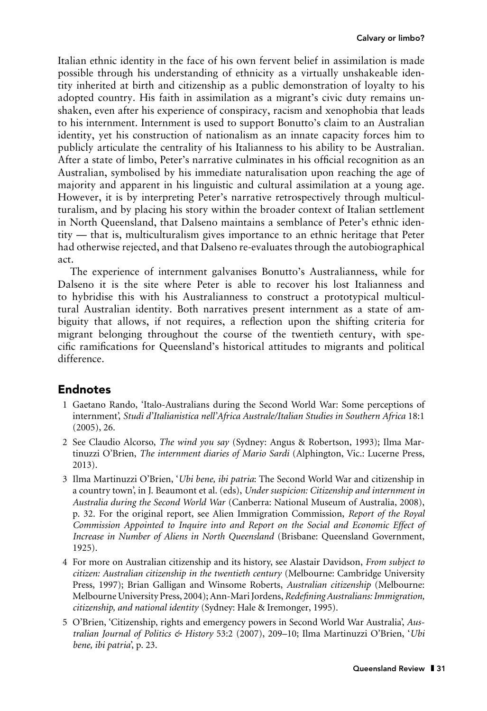<span id="page-12-0"></span>Italian ethnic identity in the face of his own fervent belief in assimilation is made possible through his understanding of ethnicity as a virtually unshakeable identity inherited at birth and citizenship as a public demonstration of loyalty to his adopted country. His faith in assimilation as a migrant's civic duty remains unshaken, even after his experience of conspiracy, racism and xenophobia that leads to his internment. Internment is used to support Bonutto's claim to an Australian identity, yet his construction of nationalism as an innate capacity forces him to publicly articulate the centrality of his Italianness to his ability to be Australian. After a state of limbo, Peter's narrative culminates in his official recognition as an Australian, symbolised by his immediate naturalisation upon reaching the age of majority and apparent in his linguistic and cultural assimilation at a young age. However, it is by interpreting Peter's narrative retrospectively through multiculturalism, and by placing his story within the broader context of Italian settlement in North Queensland, that Dalseno maintains a semblance of Peter's ethnic identity — that is, multiculturalism gives importance to an ethnic heritage that Peter had otherwise rejected, and that Dalseno re-evaluates through the autobiographical act.

The experience of internment galvanises Bonutto's Australianness, while for Dalseno it is the site where Peter is able to recover his lost Italianness and to hybridise this with his Australianness to construct a prototypical multicultural Australian identity. Both narratives present internment as a state of ambiguity that allows, if not requires, a reflection upon the shifting criteria for migrant belonging throughout the course of the twentieth century, with specific ramifications for Queensland's historical attitudes to migrants and political difference.

#### Endnotes

- 1 Gaetano Rando, 'Italo-Australians during the Second World War: Some perceptions of internment', *Studi d'Italianistica nell'Africa Australe/Italian Studies in Southern Africa* 18:1 (2005), 26.
- 2 See Claudio Alcorso, *The wind you say* (Sydney: Angus & Robertson, 1993); Ilma Martinuzzi O'Brien, *The internment diaries of Mario Sardi* (Alphington, Vic.: Lucerne Press, 2013).
- 3 Ilma Martinuzzi O'Brien, '*Ubi bene, ibi patria*: The Second World War and citizenship in a country town', in J. Beaumont et al. (eds), *Under suspicion: Citizenship and internment in Australia during the Second World War* (Canberra: National Museum of Australia, 2008), p. 32. For the original report, see Alien Immigration Commission, *Report of the Royal Commission Appointed to Inquire into and Report on the Social and Economic Effect of Increase in Number of Aliens in North Queensland* (Brisbane: Queensland Government, 1925).
- 4 For more on Australian citizenship and its history, see Alastair Davidson, *From subject to citizen: Australian citizenship in the twentieth century* (Melbourne: Cambridge University Press, 1997); Brian Galligan and Winsome Roberts, *Australian citizenship* (Melbourne: Melbourne University Press, 2004); Ann-Mari Jordens,*Redefining Australians: Immigration, citizenship, and national identity* (Sydney: Hale & Iremonger, 1995).
- 5 O'Brien, 'Citizenship, rights and emergency powers in Second World War Australia', *Australian Journal of Politics & History* 53:2 (2007), 209–10; Ilma Martinuzzi O'Brien, '*Ubi bene, ibi patria*', p. 23.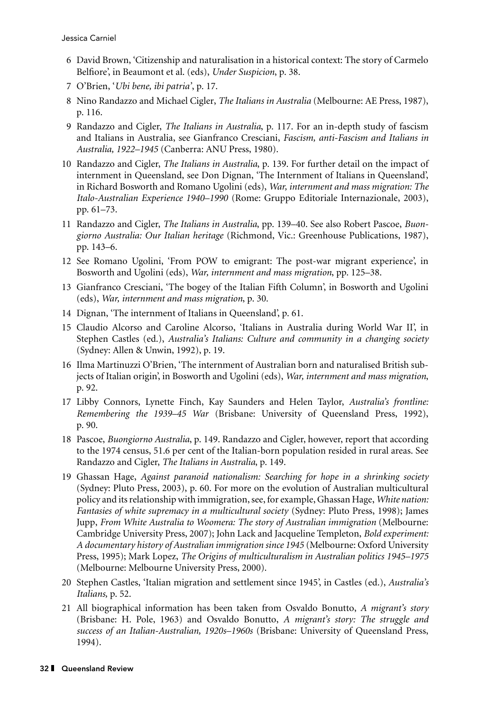- <span id="page-13-0"></span>6 David Brown, 'Citizenship and naturalisation in a historical context: The story of Carmelo Belfiore', in Beaumont et al. (eds), *Under Suspicion*, p. 38.
- 7 O'Brien, '*Ubi bene, ibi patria'*, p. 17.
- 8 Nino Randazzo and Michael Cigler, *The Italians in Australia* (Melbourne: AE Press, 1987), p. 116.
- 9 Randazzo and Cigler, *The Italians in Australia*, p. 117. For an in-depth study of fascism and Italians in Australia, see Gianfranco Cresciani, *Fascism, anti-Fascism and Italians in Australia, 1922–1945* (Canberra: ANU Press, 1980).
- 10 Randazzo and Cigler, *The Italians in Australia*, p. 139. For further detail on the impact of internment in Queensland, see Don Dignan, 'The Internment of Italians in Queensland', in Richard Bosworth and Romano Ugolini (eds), *War, internment and mass migration: The Italo-Australian Experience 1940–1990* (Rome: Gruppo Editoriale Internazionale, 2003), pp. 61–73.
- 11 Randazzo and Cigler, *The Italians in Australia*, pp. 139–40. See also Robert Pascoe, *Buongiorno Australia: Our Italian heritage* (Richmond, Vic.: Greenhouse Publications, 1987), pp. 143–6.
- 12 See Romano Ugolini, 'From POW to emigrant: The post-war migrant experience', in Bosworth and Ugolini (eds), *War, internment and mass migration*, pp. 125–38.
- 13 Gianfranco Cresciani, 'The bogey of the Italian Fifth Column', in Bosworth and Ugolini (eds), *War, internment and mass migration*, p. 30.
- 14 Dignan, 'The internment of Italians in Queensland', p. 61.
- 15 Claudio Alcorso and Caroline Alcorso, 'Italians in Australia during World War II', in Stephen Castles (ed.), *Australia's Italians: Culture and community in a changing society* (Sydney: Allen & Unwin, 1992), p. 19.
- 16 Ilma Martinuzzi O'Brien, 'The internment of Australian born and naturalised British subjects of Italian origin', in Bosworth and Ugolini (eds), *War, internment and mass migration*, p. 92.
- 17 Libby Connors, Lynette Finch, Kay Saunders and Helen Taylor, *Australia's frontline: Remembering the 1939–45 War* (Brisbane: University of Queensland Press, 1992), p. 90.
- 18 Pascoe, *Buongiorno Australia*, p. 149. Randazzo and Cigler, however, report that according to the 1974 census, 51.6 per cent of the Italian-born population resided in rural areas. See Randazzo and Cigler, *The Italians in Australia*, p. 149.
- 19 Ghassan Hage, *Against paranoid nationalism: Searching for hope in a shrinking society* (Sydney: Pluto Press, 2003), p. 60. For more on the evolution of Australian multicultural policy and its relationship with immigration, see, for example, Ghassan Hage, *White nation: Fantasies of white supremacy in a multicultural society* (Sydney: Pluto Press, 1998); James Jupp, *From White Australia to Woomera: The story of Australian immigration* (Melbourne: Cambridge University Press, 2007); John Lack and Jacqueline Templeton, *Bold experiment: A documentary history of Australian immigration since 1945* (Melbourne: Oxford University Press, 1995); Mark Lopez, *The Origins of multiculturalism in Australian politics 1945–1975* (Melbourne: Melbourne University Press, 2000).
- 20 Stephen Castles, 'Italian migration and settlement since 1945', in Castles (ed.), *Australia's Italians,* p. 52.
- 21 All biographical information has been taken from Osvaldo Bonutto, *A migrant's story* (Brisbane: H. Pole, 1963) and Osvaldo Bonutto, *A migrant's story: The struggle and success of an Italian-Australian, 1920s–1960s* (Brisbane: University of Queensland Press, 1994).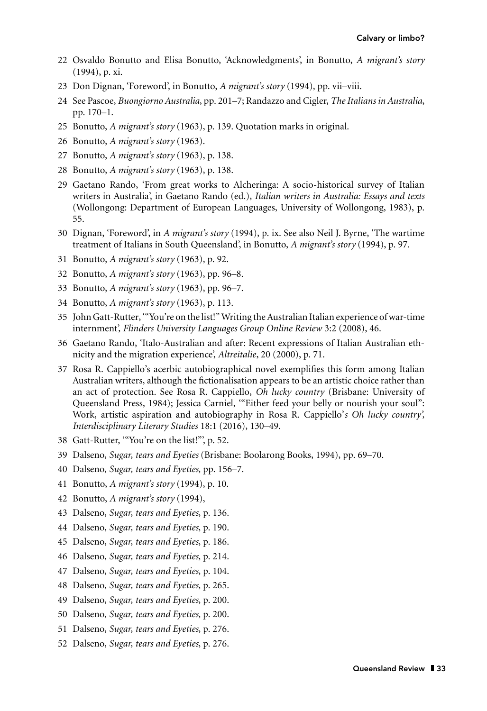- <span id="page-14-0"></span>22 Osvaldo Bonutto and Elisa Bonutto, 'Acknowledgments', in Bonutto, *A migrant's story* (1994), p. xi.
- 23 Don Dignan, 'Foreword', in Bonutto, *A migrant's story* (1994), pp. vii–viii.
- 24 See Pascoe, *Buongiorno Australia*, pp. 201–7; Randazzo and Cigler, *The Italians in Australia*, pp. 170–1.
- 25 Bonutto, *A migrant's story* (1963), p. 139. Quotation marks in original.
- 26 Bonutto, *A migrant's story* (1963).
- 27 Bonutto, *A migrant's story* (1963), p. 138.
- 28 Bonutto, *A migrant's story* (1963), p. 138.
- 29 Gaetano Rando, 'From great works to Alcheringa: A socio-historical survey of Italian writers in Australia', in Gaetano Rando (ed.), *Italian writers in Australia: Essays and texts* (Wollongong: Department of European Languages, University of Wollongong, 1983), p. 55.
- 30 Dignan, 'Foreword', in *A migrant's story* (1994), p. ix. See also Neil J. Byrne, 'The wartime treatment of Italians in South Queensland', in Bonutto, *A migrant's story* (1994), p. 97.
- 31 Bonutto, *A migrant's story* (1963), p. 92.
- 32 Bonutto, *A migrant's story* (1963), pp. 96–8.
- 33 Bonutto, *A migrant's story* (1963), pp. 96–7.
- 34 Bonutto, *A migrant's story* (1963), p. 113.
- 35 John Gatt-Rutter, '"You're on the list!" Writing the Australian Italian experience of war-time internment', *Flinders University Languages Group Online Review* 3:2 (2008), 46.
- 36 Gaetano Rando, 'Italo-Australian and after: Recent expressions of Italian Australian ethnicity and the migration experience', *Altreitalie*, 20 (2000), p. 71.
- 37 Rosa R. Cappiello's acerbic autobiographical novel exemplifies this form among Italian Australian writers, although the fictionalisation appears to be an artistic choice rather than an act of protection. See Rosa R. Cappiello, *Oh lucky country* (Brisbane: University of Queensland Press, 1984); Jessica Carniel, '"Either feed your belly or nourish your soul": Work, artistic aspiration and autobiography in Rosa R. Cappiello'*s Oh lucky country', Interdisciplinary Literary Studies* 18:1 (2016), 130–49.
- 38 Gatt-Rutter, '"You're on the list!"', p. 52.
- 39 Dalseno, *Sugar, tears and Eyeties* (Brisbane: Boolarong Books, 1994), pp. 69–70.
- 40 Dalseno, *Sugar, tears and Eyeties*, pp. 156–7.
- 41 Bonutto, *A migrant's story* (1994), p. 10.
- 42 Bonutto, *A migrant's story* (1994),
- 43 Dalseno, *Sugar, tears and Eyeties*, p. 136.
- 44 Dalseno, *Sugar, tears and Eyeties*, p. 190.
- 45 Dalseno, *Sugar, tears and Eyeties*, p. 186.
- 46 Dalseno, *Sugar, tears and Eyeties*, p. 214.
- 47 Dalseno, *Sugar, tears and Eyeties*, p. 104.
- 48 Dalseno, *Sugar, tears and Eyeties*, p. 265.
- 49 Dalseno, *Sugar, tears and Eyeties*, p. 200.
- 50 Dalseno, *Sugar, tears and Eyeties*, p. 200.
- 51 Dalseno, *Sugar, tears and Eyeties*, p. 276.
- 52 Dalseno, *Sugar, tears and Eyeties*, p. 276.